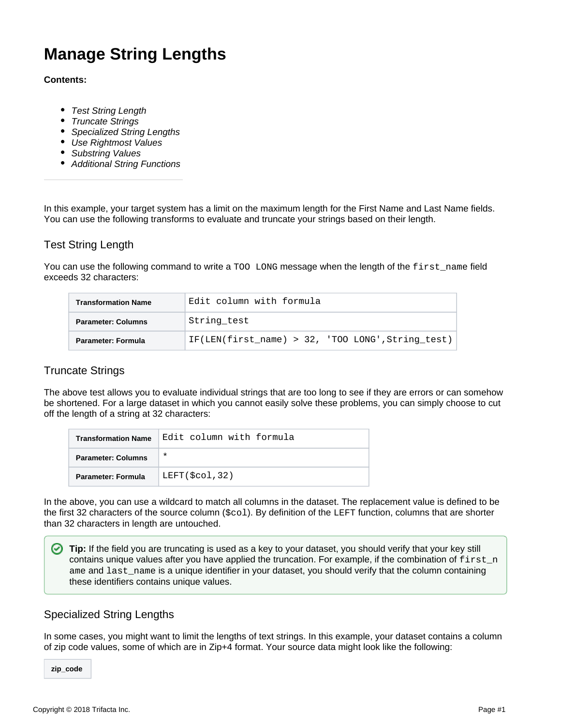# **Manage String Lengths**

#### **Contents:**

- [Test String Length](#page-0-0)
- [Truncate Strings](#page-0-1)
- [Specialized String Lengths](#page-0-2)
- [Use Rightmost Values](#page-1-0)
- [Substring Values](#page-1-1)
- [Additional String Functions](#page-2-0)

In this example, your target system has a limit on the maximum length for the First Name and Last Name fields. You can use the following transforms to evaluate and truncate your strings based on their length.

# <span id="page-0-0"></span>Test String Length

You can use the following command to write a TOO LONG message when the length of the first\_name field exceeds 32 characters:

| <b>Transformation Name</b> | Edit column with formula                             |
|----------------------------|------------------------------------------------------|
| <b>Parameter: Columns</b>  | String test                                          |
| Parameter: Formula         | IF(LEN(first name) > $32$ , 'TOO LONG', String test) |

# <span id="page-0-1"></span>Truncate Strings

The above test allows you to evaluate individual strings that are too long to see if they are errors or can somehow be shortened. For a large dataset in which you cannot easily solve these problems, you can simply choose to cut off the length of a string at 32 characters:

| <b>Transformation Name</b> | Edit column with formula |
|----------------------------|--------------------------|
| <b>Parameter: Columns</b>  | $\ast$                   |
| Parameter: Formula         | LEFT(\$col,32)           |

In the above, you can use a wildcard to match all columns in the dataset. The replacement value is defined to be the first 32 characters of the source column (\$col). By definition of the LEFT function, columns that are shorter than 32 characters in length are untouched.

**Tip:** If the field you are truncating is used as a key to your dataset, you should verify that your key still contains unique values after you have applied the truncation. For example, if the combination of  $first\_n$ ame and last\_name is a unique identifier in your dataset, you should verify that the column containing these identifiers contains unique values.

# <span id="page-0-2"></span>Specialized String Lengths

In some cases, you might want to limit the lengths of text strings. In this example, your dataset contains a column of zip code values, some of which are in Zip+4 format. Your source data might look like the following:

**zip\_code**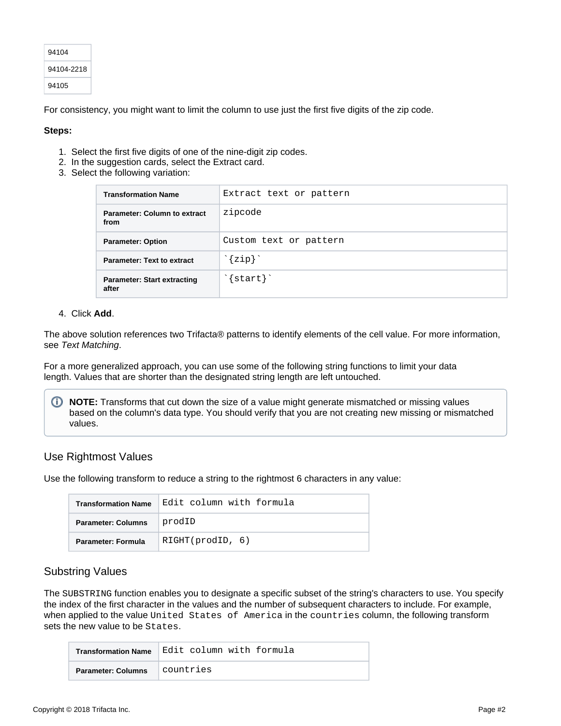| 94104      |
|------------|
| 94104-2218 |
| 94105      |

For consistency, you might want to limit the column to use just the first five digits of the zip code.

#### **Steps:**

- 1. Select the first five digits of one of the nine-digit zip codes.
- 2. In the suggestion cards, select the Extract card.
- 3. Select the following variation:

| <b>Transformation Name</b>                  | Extract text or pattern     |
|---------------------------------------------|-----------------------------|
| <b>Parameter: Column to extract</b><br>from | zipcode                     |
| <b>Parameter: Option</b>                    | Custom text or pattern      |
| <b>Parameter: Text to extract</b>           | ${zip}$                     |
| <b>Parameter: Start extracting</b><br>after | $\text{'}$ start $\text{'}$ |

#### 4. Click **Add**.

The above solution references two Trifacta® patterns to identify elements of the cell value. For more information, see [Text Matching](https://docs.trifacta.com/display/r051/Text+Matching).

For a more generalized approach, you can use some of the following string functions to limit your data length. Values that are shorter than the designated string length are left untouched.

**NOTE:** Transforms that cut down the size of a value might generate mismatched or missing values based on the column's data type. You should verify that you are not creating new missing or mismatched values.

## <span id="page-1-0"></span>Use Rightmost Values

Use the following transform to reduce a string to the rightmost 6 characters in any value:

| <b>Transformation Name</b> | Edit column with formula |
|----------------------------|--------------------------|
| <b>Parameter: Columns</b>  | prodID                   |
| Parameter: Formula         | RIGHT(prodID, 6)         |

## <span id="page-1-1"></span>Substring Values

The SUBSTRING function enables you to designate a specific subset of the string's characters to use. You specify the index of the first character in the values and the number of subsequent characters to include. For example, when applied to the value United States of America in the countries column, the following transform sets the new value to be States.

| <b>Transformation Name</b> | ∣Edit column with formula |
|----------------------------|---------------------------|
| <b>Parameter: Columns</b>  | countries                 |